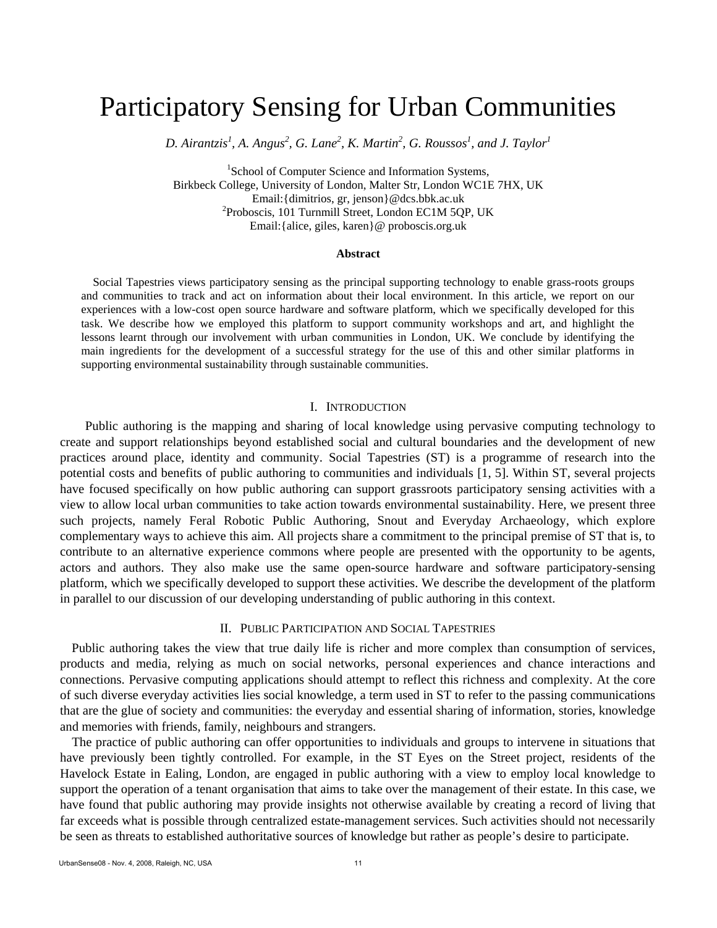# Participatory Sensing for Urban Communities

D. Airantzis<sup>1</sup>, A. Angus<sup>2</sup>, G. Lane<sup>2</sup>, K. Martin<sup>2</sup>, G. Roussos<sup>1</sup>, and J. Taylor<sup>1</sup>

<sup>1</sup>School of Computer Science and Information Systems, Birkbeck College, University of London, Malter Str, London WC1E 7HX, UK Email:{dimitrios, gr, jenson}@dcs.bbk.ac.uk 2  ${}^{2}$ Proboscis, 101 Turnmill Street, London EC1M 5QP, UK Email:{alice, giles, karen}@ proboscis.org.uk

#### **Abstract**

Social Tapestries views participatory sensing as the principal supporting technology to enable grass-roots groups and communities to track and act on information about their local environment. In this article, we report on our experiences with a low-cost open source hardware and software platform, which we specifically developed for this task. We describe how we employed this platform to support community workshops and art, and highlight the lessons learnt through our involvement with urban communities in London, UK. We conclude by identifying the main ingredients for the development of a successful strategy for the use of this and other similar platforms in supporting environmental sustainability through sustainable communities.

## I. INTRODUCTION

 Public authoring is the mapping and sharing of local knowledge using pervasive computing technology to create and support relationships beyond established social and cultural boundaries and the development of new practices around place, identity and community. Social Tapestries (ST) is a programme of research into the potential costs and benefits of public authoring to communities and individuals [1, 5]. Within ST, several projects have focused specifically on how public authoring can support grassroots participatory sensing activities with a view to allow local urban communities to take action towards environmental sustainability. Here, we present three such projects, namely Feral Robotic Public Authoring, Snout and Everyday Archaeology, which explore complementary ways to achieve this aim. All projects share a commitment to the principal premise of ST that is, to contribute to an alternative experience commons where people are presented with the opportunity to be agents, actors and authors. They also make use the same open-source hardware and software participatory-sensing platform, which we specifically developed to support these activities. We describe the development of the platform in parallel to our discussion of our developing understanding of public authoring in this context.

#### II. PUBLIC PARTICIPATION AND SOCIAL TAPESTRIES

Public authoring takes the view that true daily life is richer and more complex than consumption of services, products and media, relying as much on social networks, personal experiences and chance interactions and connections. Pervasive computing applications should attempt to reflect this richness and complexity. At the core of such diverse everyday activities lies social knowledge, a term used in ST to refer to the passing communications that are the glue of society and communities: the everyday and essential sharing of information, stories, knowledge and memories with friends, family, neighbours and strangers.

The practice of public authoring can offer opportunities to individuals and groups to intervene in situations that have previously been tightly controlled. For example, in the ST Eyes on the Street project, residents of the Havelock Estate in Ealing, London, are engaged in public authoring with a view to employ local knowledge to support the operation of a tenant organisation that aims to take over the management of their estate. In this case, we have found that public authoring may provide insights not otherwise available by creating a record of living that far exceeds what is possible through centralized estate-management services. Such activities should not necessarily be seen as threats to established authoritative sources of knowledge but rather as people's desire to participate.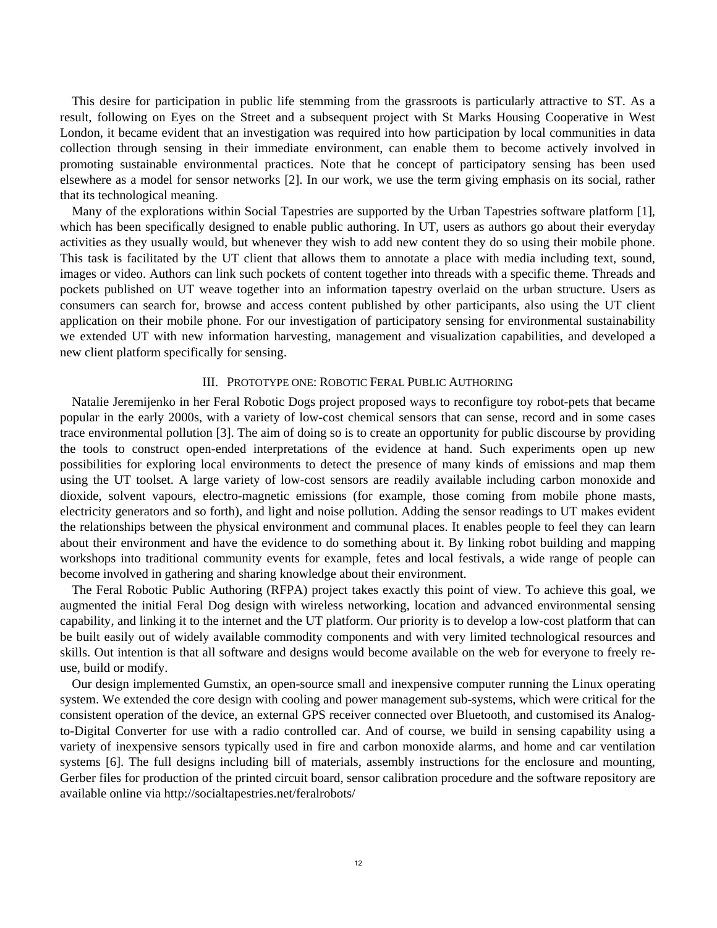This desire for participation in public life stemming from the grassroots is particularly attractive to ST. As a result, following on Eyes on the Street and a subsequent project with St Marks Housing Cooperative in West London, it became evident that an investigation was required into how participation by local communities in data collection through sensing in their immediate environment, can enable them to become actively involved in promoting sustainable environmental practices. Note that he concept of participatory sensing has been used elsewhere as a model for sensor networks [2]. In our work, we use the term giving emphasis on its social, rather that its technological meaning.

Many of the explorations within Social Tapestries are supported by the Urban Tapestries software platform [1], which has been specifically designed to enable public authoring. In UT, users as authors go about their everyday activities as they usually would, but whenever they wish to add new content they do so using their mobile phone. This task is facilitated by the UT client that allows them to annotate a place with media including text, sound, images or video. Authors can link such pockets of content together into threads with a specific theme. Threads and pockets published on UT weave together into an information tapestry overlaid on the urban structure. Users as consumers can search for, browse and access content published by other participants, also using the UT client application on their mobile phone. For our investigation of participatory sensing for environmental sustainability we extended UT with new information harvesting, management and visualization capabilities, and developed a new client platform specifically for sensing.

## III. PROTOTYPE ONE: ROBOTIC FERAL PUBLIC AUTHORING

Natalie Jeremijenko in her Feral Robotic Dogs project proposed ways to reconfigure toy robot-pets that became popular in the early 2000s, with a variety of low-cost chemical sensors that can sense, record and in some cases trace environmental pollution [3]. The aim of doing so is to create an opportunity for public discourse by providing the tools to construct open-ended interpretations of the evidence at hand. Such experiments open up new possibilities for exploring local environments to detect the presence of many kinds of emissions and map them using the UT toolset. A large variety of low-cost sensors are readily available including carbon monoxide and dioxide, solvent vapours, electro-magnetic emissions (for example, those coming from mobile phone masts, electricity generators and so forth), and light and noise pollution. Adding the sensor readings to UT makes evident the relationships between the physical environment and communal places. It enables people to feel they can learn about their environment and have the evidence to do something about it. By linking robot building and mapping workshops into traditional community events for example, fetes and local festivals, a wide range of people can become involved in gathering and sharing knowledge about their environment.

The Feral Robotic Public Authoring (RFPA) project takes exactly this point of view. To achieve this goal, we augmented the initial Feral Dog design with wireless networking, location and advanced environmental sensing capability, and linking it to the internet and the UT platform. Our priority is to develop a low-cost platform that can be built easily out of widely available commodity components and with very limited technological resources and skills. Out intention is that all software and designs would become available on the web for everyone to freely reuse, build or modify.

Our design implemented Gumstix, an open-source small and inexpensive computer running the Linux operating system. We extended the core design with cooling and power management sub-systems, which were critical for the consistent operation of the device, an external GPS receiver connected over Bluetooth, and customised its Analogto-Digital Converter for use with a radio controlled car. And of course, we build in sensing capability using a variety of inexpensive sensors typically used in fire and carbon monoxide alarms, and home and car ventilation systems [6]. The full designs including bill of materials, assembly instructions for the enclosure and mounting, Gerber files for production of the printed circuit board, sensor calibration procedure and the software repository are available online via http://socialtapestries.net/feralrobots/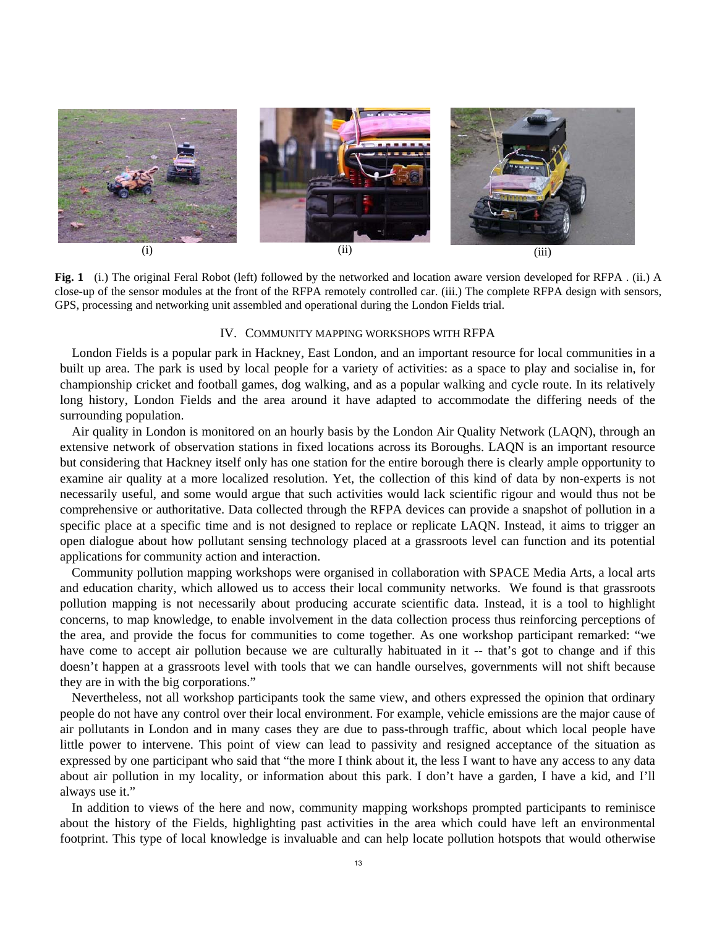

**Fig. 1** (i.) The original Feral Robot (left) followed by the networked and location aware version developed for RFPA . (ii.) A close-up of the sensor modules at the front of the RFPA remotely controlled car. (iii.) The complete RFPA design with sensors, GPS, processing and networking unit assembled and operational during the London Fields trial.

#### IV. COMMUNITY MAPPING WORKSHOPS WITH RFPA

London Fields is a popular park in Hackney, East London, and an important resource for local communities in a built up area. The park is used by local people for a variety of activities: as a space to play and socialise in, for championship cricket and football games, dog walking, and as a popular walking and cycle route. In its relatively long history, London Fields and the area around it have adapted to accommodate the differing needs of the surrounding population.

Air quality in London is monitored on an hourly basis by the London Air Quality Network (LAQN), through an extensive network of observation stations in fixed locations across its Boroughs. LAQN is an important resource but considering that Hackney itself only has one station for the entire borough there is clearly ample opportunity to examine air quality at a more localized resolution. Yet, the collection of this kind of data by non-experts is not necessarily useful, and some would argue that such activities would lack scientific rigour and would thus not be comprehensive or authoritative. Data collected through the RFPA devices can provide a snapshot of pollution in a specific place at a specific time and is not designed to replace or replicate LAQN. Instead, it aims to trigger an open dialogue about how pollutant sensing technology placed at a grassroots level can function and its potential applications for community action and interaction.

Community pollution mapping workshops were organised in collaboration with SPACE Media Arts, a local arts and education charity, which allowed us to access their local community networks. We found is that grassroots pollution mapping is not necessarily about producing accurate scientific data. Instead, it is a tool to highlight concerns, to map knowledge, to enable involvement in the data collection process thus reinforcing perceptions of the area, and provide the focus for communities to come together. As one workshop participant remarked: "we have come to accept air pollution because we are culturally habituated in it -- that's got to change and if this doesn't happen at a grassroots level with tools that we can handle ourselves, governments will not shift because they are in with the big corporations."

Nevertheless, not all workshop participants took the same view, and others expressed the opinion that ordinary people do not have any control over their local environment. For example, vehicle emissions are the major cause of air pollutants in London and in many cases they are due to pass-through traffic, about which local people have little power to intervene. This point of view can lead to passivity and resigned acceptance of the situation as expressed by one participant who said that "the more I think about it, the less I want to have any access to any data about air pollution in my locality, or information about this park. I don't have a garden, I have a kid, and I'll always use it."

In addition to views of the here and now, community mapping workshops prompted participants to reminisce about the history of the Fields, highlighting past activities in the area which could have left an environmental footprint. This type of local knowledge is invaluable and can help locate pollution hotspots that would otherwise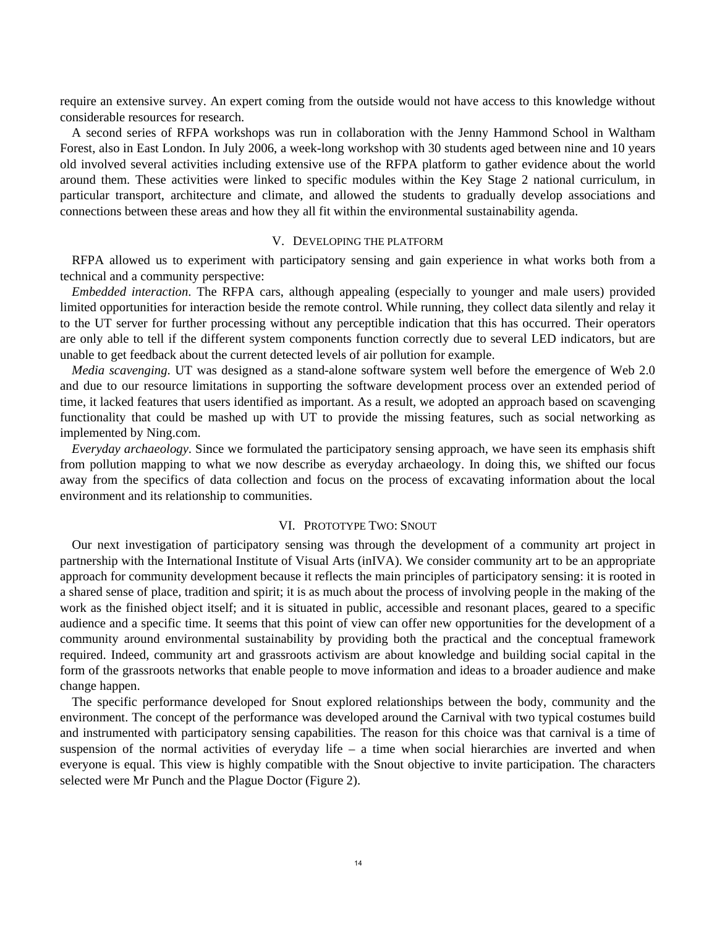require an extensive survey. An expert coming from the outside would not have access to this knowledge without considerable resources for research.

A second series of RFPA workshops was run in collaboration with the Jenny Hammond School in Waltham Forest, also in East London. In July 2006, a week-long workshop with 30 students aged between nine and 10 years old involved several activities including extensive use of the RFPA platform to gather evidence about the world around them. These activities were linked to specific modules within the Key Stage 2 national curriculum, in particular transport, architecture and climate, and allowed the students to gradually develop associations and connections between these areas and how they all fit within the environmental sustainability agenda.

## V. DEVELOPING THE PLATFORM

RFPA allowed us to experiment with participatory sensing and gain experience in what works both from a technical and a community perspective:

*Embedded interaction*. The RFPA cars, although appealing (especially to younger and male users) provided limited opportunities for interaction beside the remote control. While running, they collect data silently and relay it to the UT server for further processing without any perceptible indication that this has occurred. Their operators are only able to tell if the different system components function correctly due to several LED indicators, but are unable to get feedback about the current detected levels of air pollution for example.

*Media scavenging*. UT was designed as a stand-alone software system well before the emergence of Web 2.0 and due to our resource limitations in supporting the software development process over an extended period of time, it lacked features that users identified as important. As a result, we adopted an approach based on scavenging functionality that could be mashed up with UT to provide the missing features, such as social networking as implemented by Ning.com.

*Everyday archaeology*. Since we formulated the participatory sensing approach, we have seen its emphasis shift from pollution mapping to what we now describe as everyday archaeology. In doing this, we shifted our focus away from the specifics of data collection and focus on the process of excavating information about the local environment and its relationship to communities.

### VI. PROTOTYPE TWO: SNOUT

Our next investigation of participatory sensing was through the development of a community art project in partnership with the International Institute of Visual Arts (inIVA). We consider community art to be an appropriate approach for community development because it reflects the main principles of participatory sensing: it is rooted in a shared sense of place, tradition and spirit; it is as much about the process of involving people in the making of the work as the finished object itself; and it is situated in public, accessible and resonant places, geared to a specific audience and a specific time. It seems that this point of view can offer new opportunities for the development of a community around environmental sustainability by providing both the practical and the conceptual framework required. Indeed, community art and grassroots activism are about knowledge and building social capital in the form of the grassroots networks that enable people to move information and ideas to a broader audience and make change happen.

The specific performance developed for Snout explored relationships between the body, community and the environment. The concept of the performance was developed around the Carnival with two typical costumes build and instrumented with participatory sensing capabilities. The reason for this choice was that carnival is a time of suspension of the normal activities of everyday life  $-$  a time when social hierarchies are inverted and when everyone is equal. This view is highly compatible with the Snout objective to invite participation. The characters selected were Mr Punch and the Plague Doctor (Figure 2).